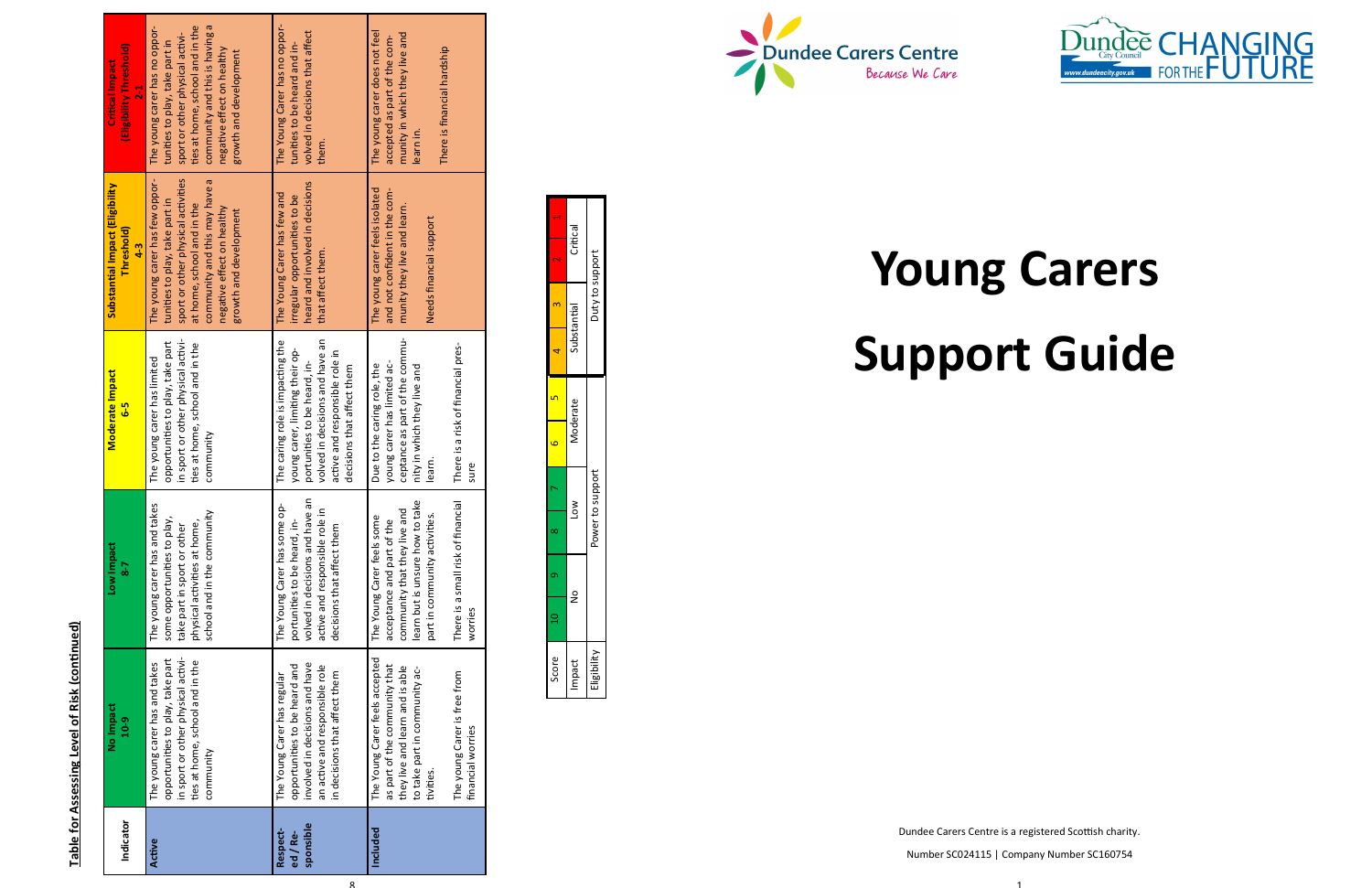8

| Indicator                         | No Impact<br>$10 - 9$                                                                                                                                                                                 | Low Impact<br>7-8                                                                                                                                                                                             | <b>Moderate Impact</b><br><mark>ა-</mark>                                                                                                                                                              | Substantial Impact (Eligibility<br>Threshold)<br>$4-3$                                                                                                                                                                        | (Eligibility Threshold)<br><b>Critical Impact</b><br>$\frac{1}{2}$                                                                                                                                                              |
|-----------------------------------|-------------------------------------------------------------------------------------------------------------------------------------------------------------------------------------------------------|---------------------------------------------------------------------------------------------------------------------------------------------------------------------------------------------------------------|--------------------------------------------------------------------------------------------------------------------------------------------------------------------------------------------------------|-------------------------------------------------------------------------------------------------------------------------------------------------------------------------------------------------------------------------------|---------------------------------------------------------------------------------------------------------------------------------------------------------------------------------------------------------------------------------|
| Active                            | in sport or other physical activi-<br>opportunities to play, take part<br>ties at home, school and in the<br>The young carer has and takes<br>community                                               | The young carer has and takes<br>school and in the community<br>some opportunities to play,<br>physical activities at home,<br>take part in sport or other                                                    | in sport or other physical activi-<br>opportunities to play, take part<br>ties at home, school and in the<br>The young carer has limited<br>community                                                  | sport or other physical activities<br>The young carer has few oppor-<br>community and this may have a<br>tunities to play, take part in<br>at home, school and in the<br>negative effect on healthy<br>growth and development | community and this is having a<br>ties at home, school and in the<br>The young carer has no oppor-<br>sport or other physical activi-<br>tunities to play, take part in<br>negative effect on healthy<br>growth and development |
| sponsible<br>Respect-<br>ed / Re- | involved in decisions and have<br>opportunities to be heard and<br>an active and responsible role<br>in decisions that affect them<br>The Young Carer has regular                                     | an<br>$\frac{1}{\mathbf{Q}}$<br>active and responsible role in<br>The Young Carer has some o<br>volved in decisions and have<br>portunities to be heard, in-<br>decisions that affect them                    | volved in decisions and have an<br>The caring role is impacting the<br>young carer, limiting their op-<br>active and responsible role in<br>portunities to be heard, in-<br>decisions that affect them | heard and involved in decisions<br>The Young Carer has few and<br>irregular opportunities to be<br>that affect them.                                                                                                          | The Young Carer has no oppor-<br>volved in decisions that affect<br>tunities to be heard and in-<br>them.                                                                                                                       |
| Included                          | The Young Carer feels accepted<br>as part of the community that<br>they live and learn and is able<br>to take part in community ac-<br>The young Carer is free from<br>financial worries<br>tivities. | learn but is unsure how to take<br>There is a small risk of financial<br>community that they live and<br>part in community activities.<br>The Young Carer feels some<br>acceptance and part of the<br>worries | ceptance as part of the commu-<br>There is a risk of financial pres-<br>young carer has limited ac-<br>Due to the caring role, the<br>nity in which they live and<br>learn.<br>sure                    | The young carer feels isolated<br>and not confident in the com-<br>munity they live and learn.<br>Needs financial support                                                                                                     | The young carer does not feel<br>munity in which they live and<br>accepted as part of the com-<br>There is financial hardship<br>learn in.                                                                                      |

| Ĭ |  |
|---|--|
| I |  |
|   |  |
| ļ |  |
|   |  |

| e a   |                        |                             |
|-------|------------------------|-----------------------------|
|       | Critical               |                             |
| N     |                        |                             |
|       | Substantial            | Duty to support             |
|       |                        |                             |
|       | <i><b>Aoderate</b></i> |                             |
| Ï     |                        |                             |
|       | ŠΣ                     | Power to support            |
|       |                        |                             |
|       | $\frac{1}{2}$          |                             |
|       |                        |                             |
| Score | mpact                  | $\frac{1}{2}$<br>in Pallati |



Dundee Carers Centre is a registered Scottish charity.

Number SC024115 | Company Number SC160754



# **Young Carers Support Guide**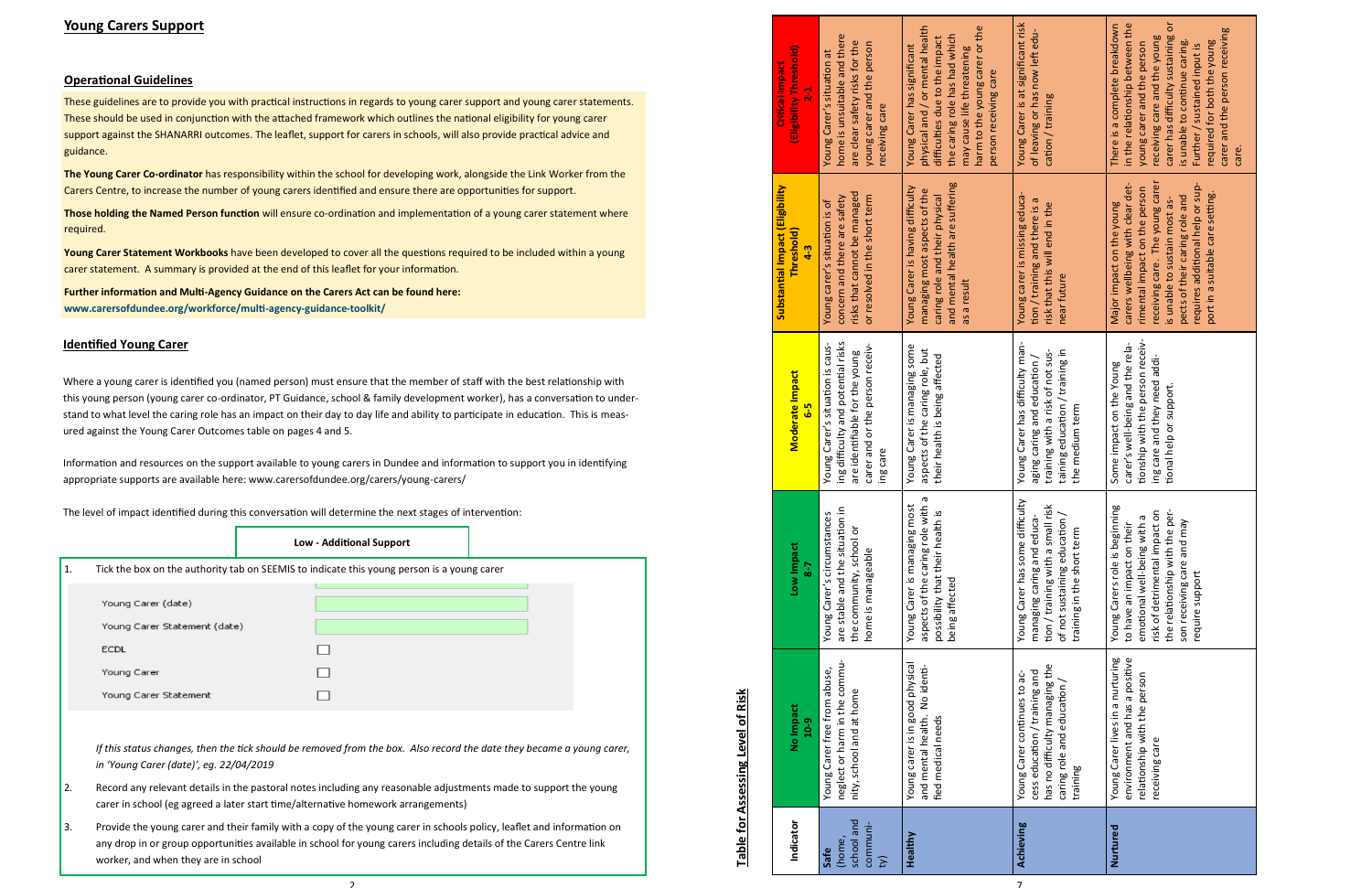# **Young Carers Support**

# **Operational Guidelines**

These guidelines are to provide you with practical instructions in regards to young carer support and young carer statements. These should be used in conjunction with the attached framework which outlines the national eligibility for young carer support against the SHANARRI outcomes. The leaflet, support for carers in schools, will also provide practical advice and guidance.

**The Young Carer Co -ordinator** has responsibility within the school for developing work, alongside the Link Worker from the Carers Centre, to increase the number of young carers identified and ensure there are opportunities for support.

**Further information and Multi-Agency Guidance on the Carers Act can be found here: www.carersofdundee.org/workforce/multi -agency -guidance -toolkit/**

**Those holding the Named Person function** will ensure co -ordination and implementation of a young carer statement where required.

**Young Carer Statement Workbooks** have been developed to cover all the questions required to be included within a young carer statement. A summary is provided at the end of this leaflet for your information.

# **Identified Young Carer**

Where a young carer is identified you (named person) must ensure that the member of staff with the best relationship with this young person (young carer co -ordinator, PT Guidance, school & family development worker), has a conversation to understand to what level the caring role has an impact on their day to day life and ability to participate in education. This is measured against the Young Carer Outcomes table on pages 4 and 5.

Information and resources on the support available to young carers in Dundee and information to support you in identifying appropriate supports are available here: www.carersofdundee.org/carers/young -carers/

The level of impact identified during this conversation will determine the next stages of intervention:

|                                           | <b>Low - Additional Support</b>                                                                                                                                                                                                              |  |
|-------------------------------------------|----------------------------------------------------------------------------------------------------------------------------------------------------------------------------------------------------------------------------------------------|--|
| 1.                                        | Tick the box on the authority tab on SEEMIS to indicate this young person is a young carer                                                                                                                                                   |  |
| Young Carer (date)                        |                                                                                                                                                                                                                                              |  |
| Young Carer Statement (date)              |                                                                                                                                                                                                                                              |  |
| <b>ECDL</b>                               |                                                                                                                                                                                                                                              |  |
| Young Carer                               |                                                                                                                                                                                                                                              |  |
| Young Carer Statement                     |                                                                                                                                                                                                                                              |  |
|                                           |                                                                                                                                                                                                                                              |  |
| in 'Young Carer (date)', eg. 22/04/2019   | If this status changes, then the tick should be removed from the box. Also record the date they became a young carer,                                                                                                                        |  |
| 2.                                        | Record any relevant details in the pastoral notes including any reasonable adjustments made to support the young<br>carer in school (eg agreed a later start time/alternative homework arrangements)                                         |  |
| 3.<br>worker, and when they are in school | Provide the young carer and their family with a copy of the young carer in schools policy, leaflet and information on<br>any drop in or group opportunities available in school for young carers including details of the Carers Centre link |  |

 $\overline{2}$ 

|                                          | (Eligibility Threshold)<br><b>Critical Impact</b><br>$\overline{2}$ | home is unsuitable and there<br>are clear safety risks for the<br>young carer and the person<br>Young Carer's situation at<br>receiving care            | physical and / or mental health<br>harm to the young carer or the<br>the caring role has had which<br>difficulties due to the impact<br>Young Carer has significant<br>may cause life threatening<br>person receiving care | Young Carer is at significant risk<br>of leaving or has now left edu-<br>cation / training                                                                        | carer has difficulty sustaining or<br>in the relationship between the<br>There is a complete breakdown<br>carer and the person receiving<br>receiving care and the young<br>required for both the young<br>is unable to continue caring.<br>young carer and the person<br>Further / sustained input is<br>care. |
|------------------------------------------|---------------------------------------------------------------------|---------------------------------------------------------------------------------------------------------------------------------------------------------|----------------------------------------------------------------------------------------------------------------------------------------------------------------------------------------------------------------------------|-------------------------------------------------------------------------------------------------------------------------------------------------------------------|-----------------------------------------------------------------------------------------------------------------------------------------------------------------------------------------------------------------------------------------------------------------------------------------------------------------|
|                                          | Substantial Impact (Eligibility<br>Threshold)<br>$4-3$              | risks that cannot be managed<br>or resolved in the short term<br>concern and there are safety<br>Young carer's situation is of                          | and mental health are suffering<br>Young Carer is having difficulty<br>managing most aspects of the<br>caring role and their physical<br>as a result                                                                       | Young carer is missing educa-<br>tion / training and there is a<br>risk that this will end in the<br>near future                                                  | receiving care. The young carer<br>carers wellbeing with clear det-<br>requires additional help or sup-<br>rimental impact on the person<br>port in a suitable care setting.<br>pects of their caring role and<br>is unable to sustain most as-<br>Major impact on the young                                    |
|                                          | Moderate Impact<br>$6-5$                                            | ing difficulty and potential risks<br>Young Carer's situation is caus-<br>carer and or the person receiv-<br>are identifiable for the young<br>ing care | Young Carer is managing some<br>aspects of the caring role, but<br>their health is being affected                                                                                                                          | Young Carer has difficulty man-<br>training with a risk of not sus-<br>taining education / training in<br>aging caring and education /<br>the medium term         | tionship with the person receiv-<br>carer's well-being and the rela-<br>ing care and they need addi-<br>Some impact on the Young<br>tional help or support.                                                                                                                                                     |
|                                          | Low Impact<br>$\overline{\phantom{0}}$                              | $\simeq$<br>Young Carer's circumstances<br>are stable and the situation<br>the community, school or<br>home is manageable                               | aspects of the caring role with a<br>Young Carer is managing most<br>possibility that their health is<br>being affected                                                                                                    | Young Carer has some difficulty<br>tion / training with a small risk<br>of not sustaining education /<br>managing caring and educa-<br>training in the short term | Young Carers role is beginning<br>risk of detrimental impact or<br>the relationship with the per<br>emotional well-being with a<br>son receiving care and may<br>to have an impact on their<br>require support                                                                                                  |
| <b>Table for Assessing Level of Risk</b> | No Impact<br>$10 - 9$                                               | neglect or harm in the commu-<br>Young Carer free from abuse,<br>nity, school and at home                                                               | Young carer is in good physical<br>and mental health. No identi-<br>fied medical needs                                                                                                                                     | has no difficulty managing the<br>cess education / training and<br>Young Carer continues to ac-<br>caring role and education,<br>training                         | Young Carer lives in a nurturing<br>environment and has a positive<br>relationship with the person<br>receiving care                                                                                                                                                                                            |
|                                          | Indicator                                                           | school and<br>communi-<br>(home,<br>Safe<br>$\widehat{\mathbb{Y}}$                                                                                      | Healthy                                                                                                                                                                                                                    | Achieving                                                                                                                                                         | Nurtured                                                                                                                                                                                                                                                                                                        |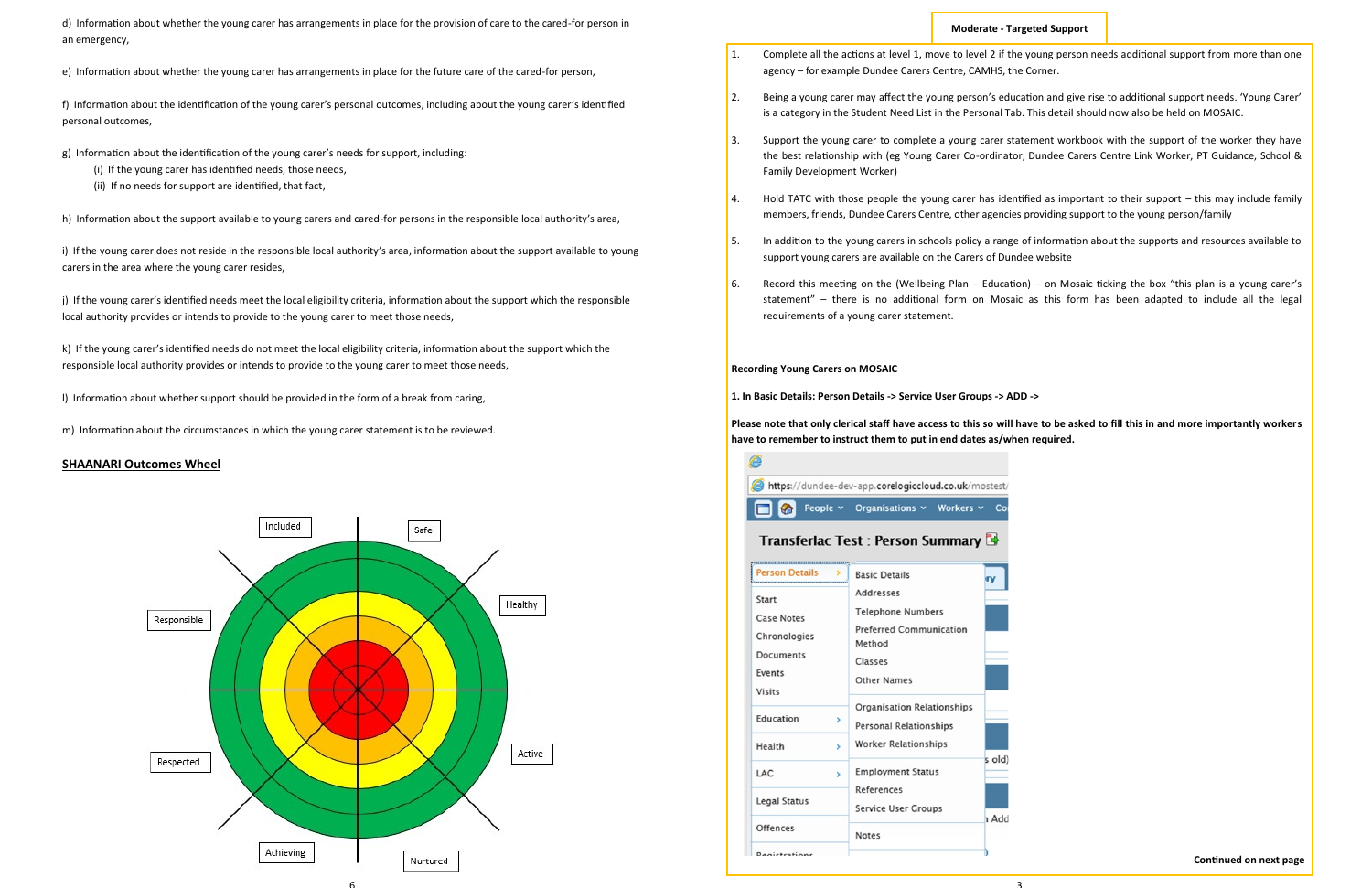

d) Information about whether the young carer has arrangements in place for the provision of care to the cared-for person in an emergency,

e) Information about whether the young carer has arrangements in place for the future care of the cared-for person,

f) Information about the identification of the young carer's personal outcomes, including about the young carer's identified personal outcomes,

g) Information about the identification of the young carer's needs for support, including:

- (i) If the young carer has identified needs, those needs,
- (ii) If no needs for support are identified, that fact,

h) Information about the support available to young carers and cared-for persons in the responsible local authority's area,

i) If the young carer does not reside in the responsible local authority's area, information about the support available to young carers in the area where the young carer resides,

j) If the young carer's identified needs meet the local eligibility criteria, information about the support which the responsible local authority provides or intends to provide to the young carer to meet those needs,

k) If the young carer's identified needs do not meet the local eligibility criteria, information about the support which the responsible local authority provides or intends to provide to the young carer to meet those needs,

l) Information about whether support should be provided in the form of a break from caring,

m) Information about the circumstances in which the young carer statement is to be reviewed.

## **SHAANARI Outcomes Wheel**

## **Moderate - Targeted Support**

1. Complete all the actions at level 1, move to level 2 if the young person needs additional support from more than one

2. Being a young carer may affect the young person's education and give rise to additional support needs. ʻYoung Carer'

3. Support the young carer to complete a young carer statement workbook with the support of the worker they have the best relationship with (eg Young Carer Co-ordinator, Dundee Carers Centre Link Worker, PT Guidance, School &

4. Hold TATC with those people the young carer has identified as important to their support – this may include family

- agency for example Dundee Carers Centre, CAMHS, the Corner.
- is a category in the Student Need List in the Personal Tab. This detail should now also be held on MOSAIC.
- Family Development Worker)
- members, friends, Dundee Carers Centre, other agencies providing support to the young person/family
- support young carers are available on the Carers of Dundee website
- requirements of a young carer statement.

5. In addition to the young carers in schools policy a range of information about the supports and resources available to

6. Record this meeting on the (Wellbeing Plan – Education) – on Mosaic ticking the box "this plan is a young carer's statement" – there is no additional form on Mosaic as this form has been adapted to include all the legal

#### **Recording Young Carers on MOSAIC**

**1. In Basic Details: Person Details -> Service User Groups -> ADD ->**

**Please note that only clerical staff have access to this so will have to be asked to fill this in and more importantly workers have to remember to instruct them to put in end dates as/when required.**

| e |                                                      |  |
|---|------------------------------------------------------|--|
|   | https://dundee-dev-app.corelogiccloud.co.uk/mostest/ |  |
|   | People v Organisations v Workers v Cor               |  |
|   |                                                      |  |

# Transferlac Test: Person Summary

| <b>Person Details</b><br>Start<br><b>Case Notes</b><br>Chronologies<br>Documents<br>Events | <b>Basic Details</b><br>Addresses<br><b>Telephone Numbers</b><br><b>Preferred Communication</b><br>Method<br>Classes<br><b>Other Names</b> | ιTV            |
|--------------------------------------------------------------------------------------------|--------------------------------------------------------------------------------------------------------------------------------------------|----------------|
| <b>Visits</b><br>Education<br>۶<br>Health<br>×                                             | Organisation Relationships<br>Personal Relationships<br>Worker Relationships                                                               |                |
| LAC<br>s<br><b>Legal Status</b>                                                            | <b>Employment Status</b><br>References<br>Service User Groups                                                                              | s old<br>1 Ado |
| <b>Offences</b><br><b>Danietrations</b>                                                    | <b>Notes</b>                                                                                                                               |                |